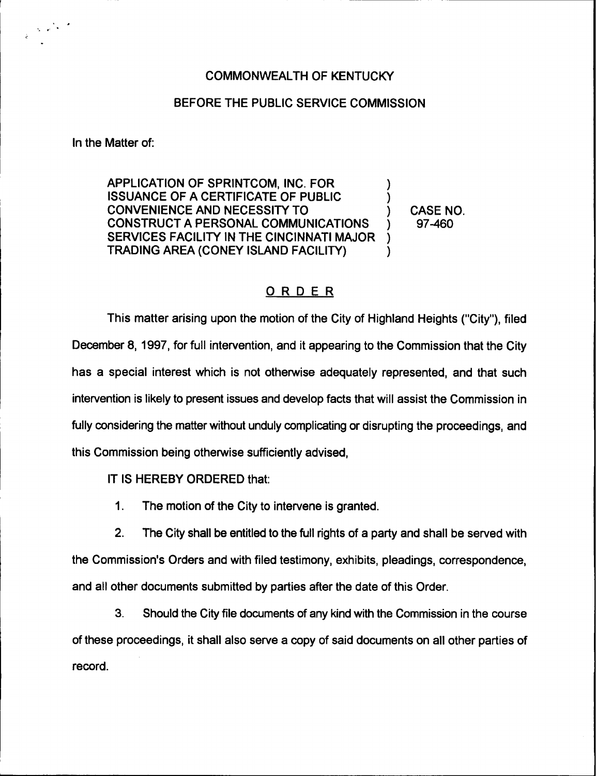## COMMONWEALTH OF KENTUCKY

## BEFORE THE PUBLIC SERVICE COMMISSION

In the Matter of:

 $\frac{1}{2} \left( \frac{1}{2} \right)^{2} e^{-\frac{1}{2} \left( \frac{1}{2} \right)^{2}}$ 

APPLICATION OF SPRINTCOM, INC. FOR ISSUANCE OF A CERTIFICATE OF PUBLIC CONVENIENCE AND NECESSITY TO CONSTRUCT A PERSONAL COMMUNICATIONS SERVICES FACILITY IN THE CINCINNATI MAJOR TRADING AREA (CONEY ISLAND FACILITY) ) ) ) )

) CASE NO. ) 97-460

## ORDER

This matter arising upon the motion of the City of Highland Heights ("City"), filed December 8, 1997, for full intervention, and it appearing to the Commission that the City has a special interest which is not otherwise adequately represented, and that such intervention is likely to present issues and develop facts that will assist the Commission in fully considering the matter without unduly complicating or disrupting the proceedings, and this Commission being otherwise sufficiently advised,

IT IS HEREBY ORDERED that:

 $\mathbf 1$ . The motion of the City to intervene is granted.

2. The City shall be entitled to the full rights of a party and shall be served with the Commission's Orders and with filed testimony, exhibits, pleadings, correspondence, and all other documents submitted by parties after the date of this Order.

3. Should the City file documents of any kind with the Commission in the course of these proceedings, it shall also serve a copy of said documents on all other parties of record.